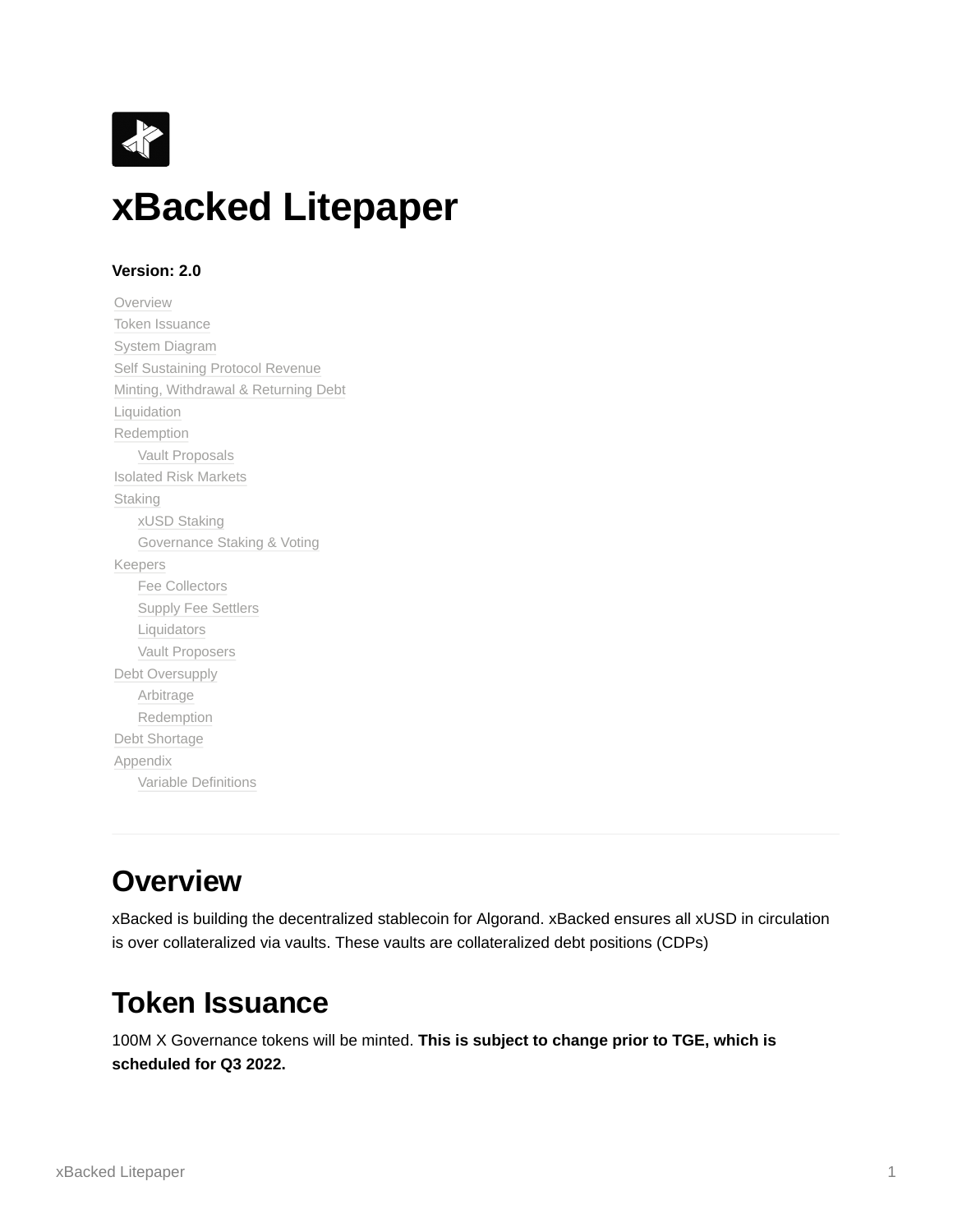

### **Version: 2.0**

[Overview](#page-0-0) [Token Issuance](#page-0-1) [System Diagram](#page-1-0) [Self Sustaining Protocol Revenue](#page-2-0) [Minting, Withdrawal & Returning Debt](#page-2-1) [Liquidation](#page-4-0) [Redemption](#page-6-0) [Vault Proposals](#page-7-0) [Isolated Risk Markets](#page-7-1) **[Staking](#page-7-2)** [xUSD Staking](#page-7-3) [Governance Staking & Voting](#page-8-0) [Keepers](#page-8-1) [Fee Collectors](#page-8-2) [Supply Fee Settlers](#page-8-3) [Liquidators](#page-8-4) [Vault Proposers](#page-9-0) [Debt Oversupply](#page-9-1) [Arbitrage](#page-9-2) [Redemption](#page-9-3) [Debt Shortage](#page-9-4) [Appendix](#page-10-0) [Variable Definitions](#page-10-1)

## <span id="page-0-0"></span>**Overview**

xBacked is building the decentralized stablecoin for Algorand. xBacked ensures all xUSD in circulation is over collateralized via vaults. These vaults are collateralized debt positions (CDPs)

# <span id="page-0-1"></span>**Token Issuance**

100M X Governance tokens will be minted. **This is subject to change prior to TGE, which is scheduled for Q3 2022.**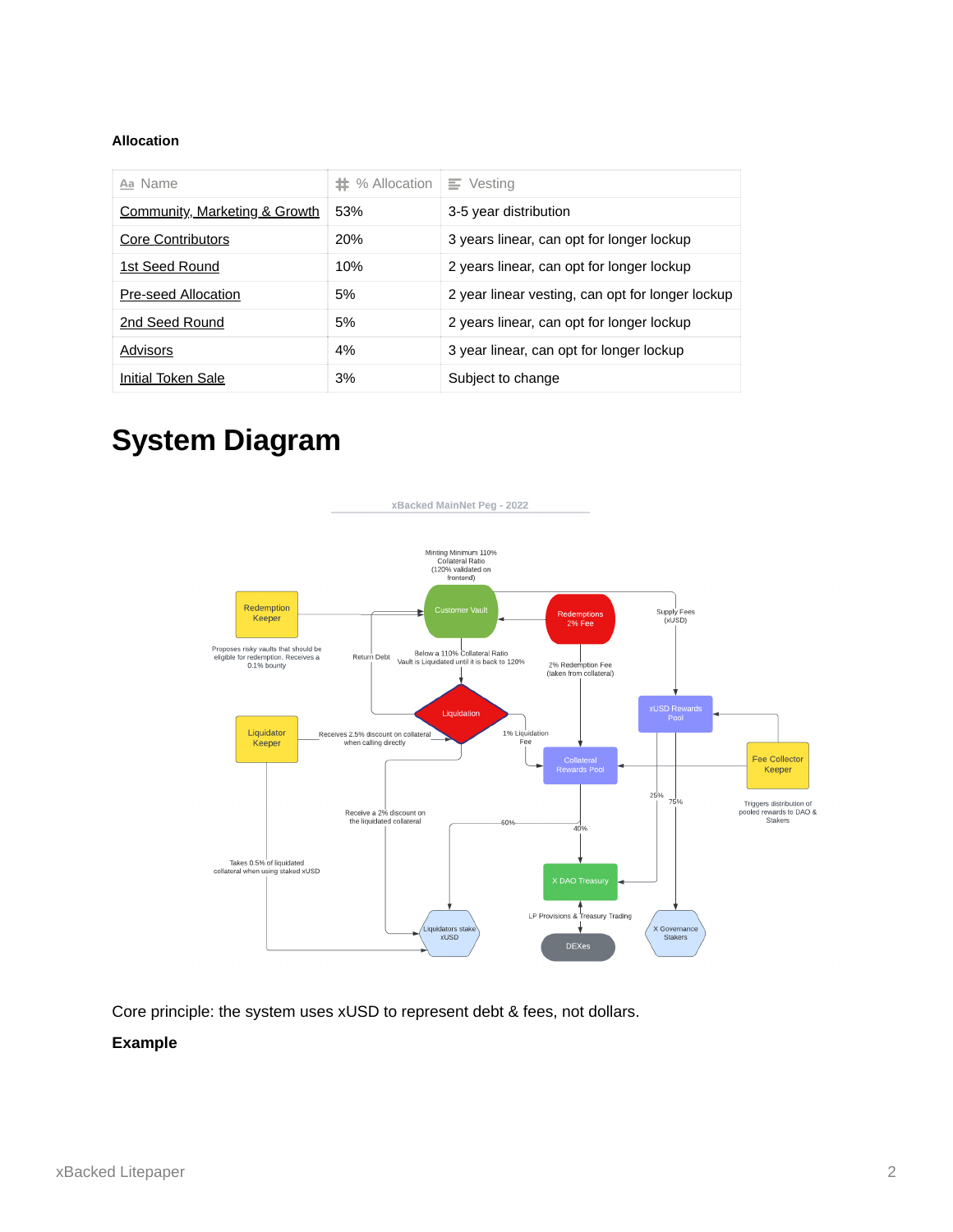#### **Allocation**

| Aa Name                                  | $\#$ % Allocation | $\equiv$ Vesting                                 |
|------------------------------------------|-------------------|--------------------------------------------------|
| <b>Community, Marketing &amp; Growth</b> | 53%               | 3-5 year distribution                            |
| Core Contributors                        | 20%               | 3 years linear, can opt for longer lockup        |
| 1st Seed Round                           | 10%               | 2 years linear, can opt for longer lockup        |
| Pre-seed Allocation                      | 5%                | 2 year linear vesting, can opt for longer lockup |
| 2nd Seed Round                           | 5%                | 2 years linear, can opt for longer lockup        |
| Advisors                                 | 4%                | 3 year linear, can opt for longer lockup         |
| Initial Token Sale                       | 3%                | Subject to change                                |

# <span id="page-1-0"></span>**System Diagram**



Core principle: the system uses xUSD to represent debt & fees, not dollars.

### **Example**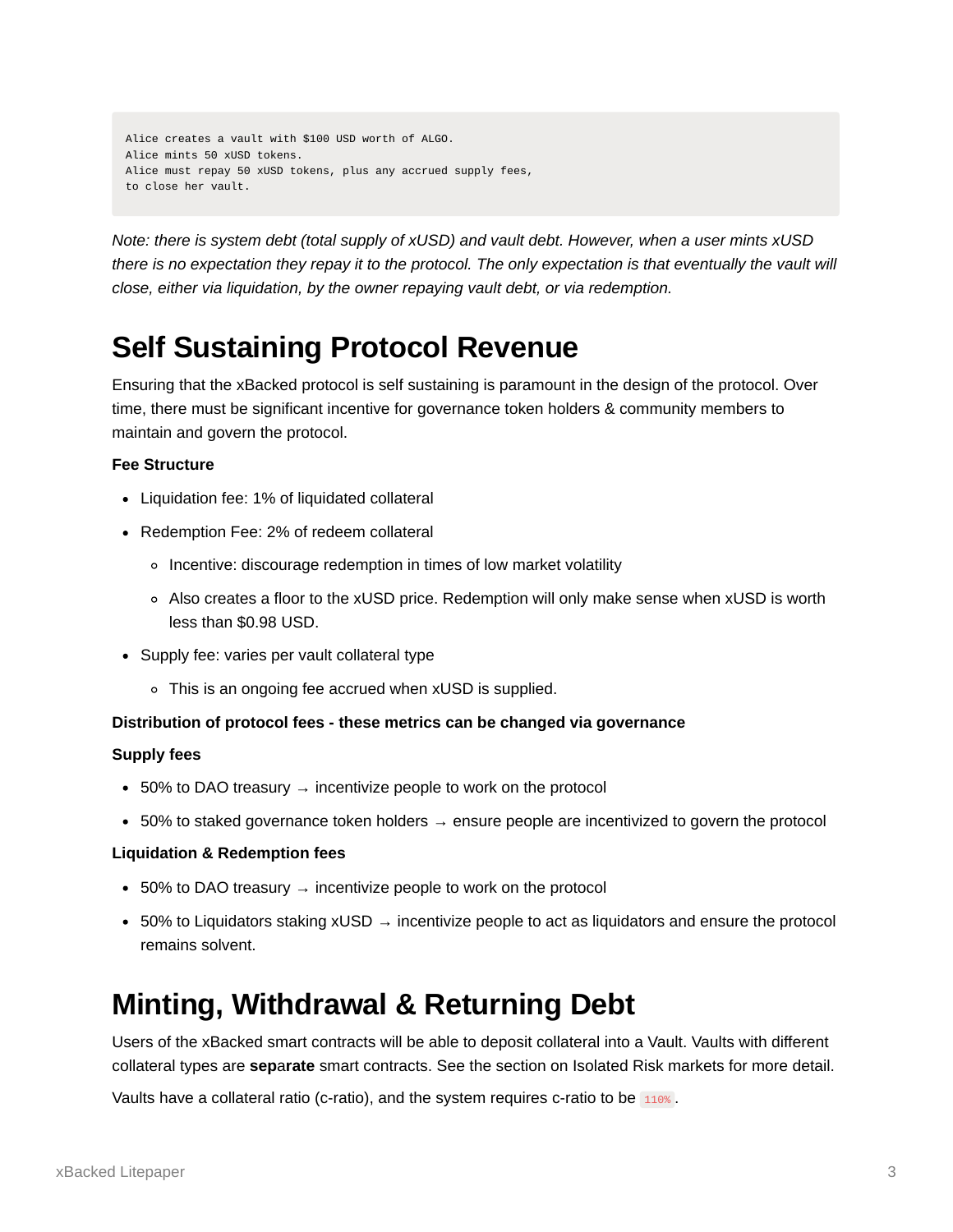```
Alice creates a vault with $100 USD worth of ALGO.
Alice mints 50 xUSD tokens.
Alice must repay 50 xUSD tokens, plus any accrued supply fees,
to close her vault.
```
*Note: there is system debt (total supply of xUSD) and vault debt. However, when a user mints xUSD there is no expectation they repay it to the protocol. The only expectation is that eventually the vault will close, either via liquidation, by the owner repaying vault debt, or via redemption.*

# <span id="page-2-0"></span>**Self Sustaining Protocol Revenue**

Ensuring that the xBacked protocol is self sustaining is paramount in the design of the protocol. Over time, there must be significant incentive for governance token holders & community members to maintain and govern the protocol.

### **Fee Structure**

- Liquidation fee: 1% of liquidated collateral
- Redemption Fee: 2% of redeem collateral
	- o Incentive: discourage redemption in times of low market volatility
	- Also creates a floor to the xUSD price. Redemption will only make sense when xUSD is worth less than \$0.98 USD.
- Supply fee: varies per vault collateral type
	- This is an ongoing fee accrued when xUSD is supplied.

### **Distribution of protocol fees - these metrics can be changed via governance**

### **Supply fees**

- $\bullet$  50% to DAO treasury  $\rightarrow$  incentivize people to work on the protocol
- 50% to staked governance token holders  $→$  ensure people are incentivized to govern the protocol

### **Liquidation & Redemption fees**

- 50% to DAO treasury  $\rightarrow$  incentivize people to work on the protocol
- $\bullet$  50% to Liquidators staking xUSD  $\rightarrow$  incentivize people to act as liquidators and ensure the protocol remains solvent.

# <span id="page-2-1"></span>**Minting, Withdrawal & Returning Debt**

Users of the xBacked smart contracts will be able to deposit collateral into a Vault. Vaults with different collateral types are **sep**a**rate** smart contracts. See the section on Isolated Risk markets for more detail.

Vaults have a collateral ratio (c-ratio), and the system requires c-ratio to be 110%.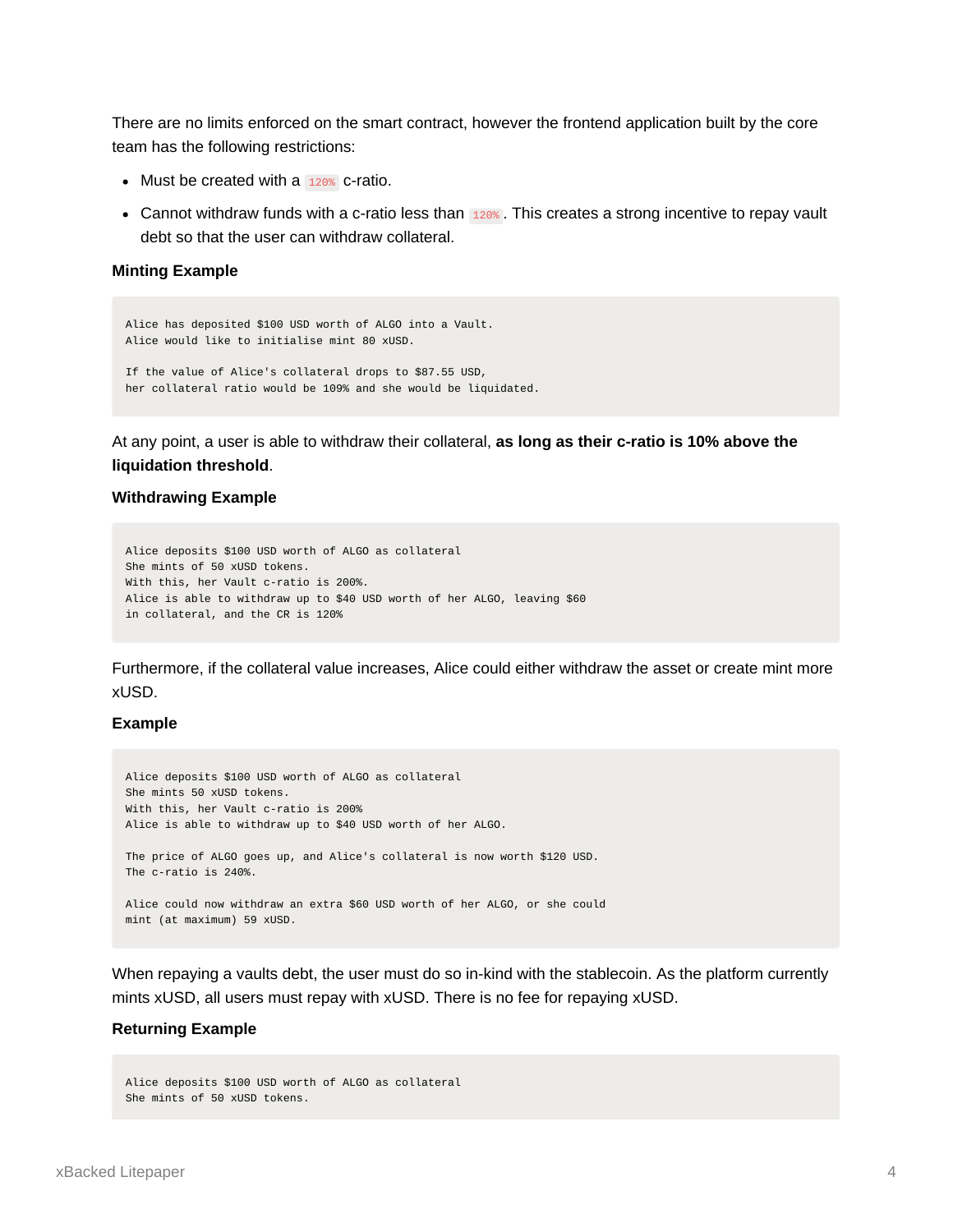There are no limits enforced on the smart contract, however the frontend application built by the core team has the following restrictions:

- $\bullet$  Must be created with a  $120\%$  c-ratio.
- Cannot withdraw funds with a c-ratio less than 120%. This creates a strong incentive to repay vault debt so that the user can withdraw collateral.

#### **Minting Example**

```
Alice has deposited $100 USD worth of ALGO into a Vault.
Alice would like to initialise mint 80 xUSD.
If the value of Alice's collateral drops to $87.55 USD,
her collateral ratio would be 109% and she would be liquidated.
```
At any point, a user is able to withdraw their collateral, **as long as their c-ratio is 10% above the liquidation threshold**.

#### **Withdrawing Example**

```
Alice deposits $100 USD worth of ALGO as collateral
She mints of 50 xUSD tokens.
With this, her Vault c-ratio is 200%.
Alice is able to withdraw up to $40 USD worth of her ALGO, leaving $60
in collateral, and the CR is 120%
```
Furthermore, if the collateral value increases, Alice could either withdraw the asset or create mint more xUSD.

#### **Example**

```
Alice deposits $100 USD worth of ALGO as collateral
She mints 50 xUSD tokens.
With this, her Vault c-ratio is 200%
Alice is able to withdraw up to $40 USD worth of her ALGO.
The price of ALGO goes up, and Alice's collateral is now worth $120 USD.
The c-ratio is 240%.
Alice could now withdraw an extra $60 USD worth of her ALGO, or she could
mint (at maximum) 59 xUSD.
```
When repaying a vaults debt, the user must do so in-kind with the stablecoin. As the platform currently mints xUSD, all users must repay with xUSD. There is no fee for repaying xUSD.

#### **Returning Example**

Alice deposits \$100 USD worth of ALGO as collateral She mints of 50 xUSD tokens.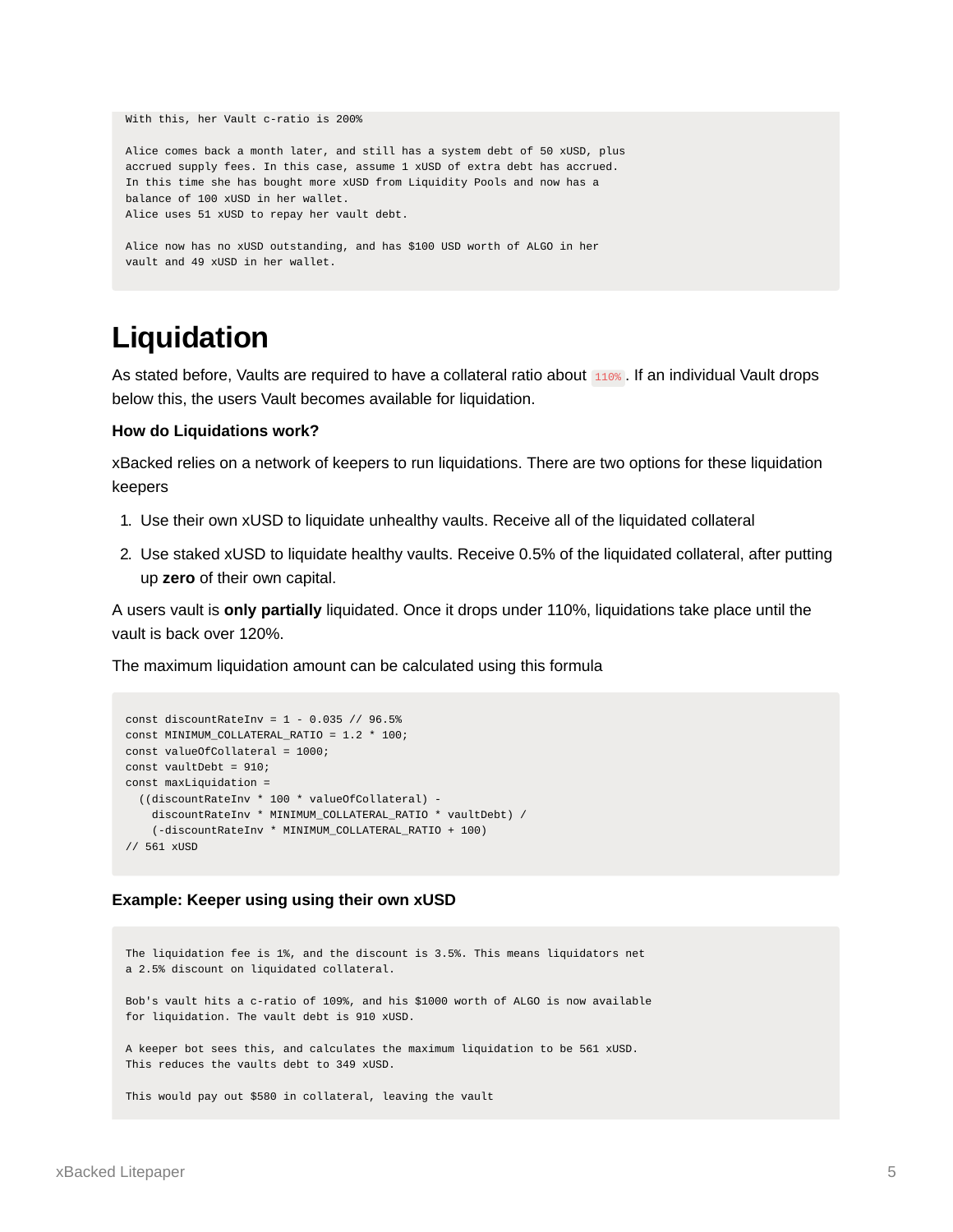```
With this, her Vault c-ratio is 200%
Alice comes back a month later, and still has a system debt of 50 xUSD, plus
accrued supply fees. In this case, assume 1 xUSD of extra debt has accrued.
In this time she has bought more xUSD from Liquidity Pools and now has a
balance of 100 xUSD in her wallet.
Alice uses 51 xUSD to repay her vault debt.
Alice now has no xUSD outstanding, and has $100 USD worth of ALGO in her
vault and 49 xUSD in her wallet.
```
# <span id="page-4-0"></span>**Liquidation**

As stated before, Vaults are required to have a collateral ratio about 110%. If an individual Vault drops below this, the users Vault becomes available for liquidation.

#### **How do Liquidations work?**

xBacked relies on a network of keepers to run liquidations. There are two options for these liquidation keepers

- 1. Use their own xUSD to liquidate unhealthy vaults. Receive all of the liquidated collateral
- 2. Use staked xUSD to liquidate healthy vaults. Receive 0.5% of the liquidated collateral, after putting up **zero** of their own capital.

A users vault is **only partially** liquidated. Once it drops under 110%, liquidations take place until the vault is back over 120%.

The maximum liquidation amount can be calculated using this formula

```
const discountRateInv = 1 - 0.035 // 96.5%
const MINIMUM_COLLATERAL_RATIO = 1.2 * 100;
const valueOfCollateral = 1000;
const vaultDebt = 910;
const maxLiquidation =
 ((discountRateInv * 100 * valueOfCollateral) -
   discountRateInv * MINIMUM_COLLATERAL_RATIO * vaultDebt) /
    (-discountRateInv * MINIMUM_COLLATERAL_RATIO + 100)
// 561 xUSD
```
### **Example: Keeper using using their own xUSD**

```
The liquidation fee is 1%, and the discount is 3.5%. This means liquidators net
a 2.5% discount on liquidated collateral.
Bob's vault hits a c-ratio of 109%, and his $1000 worth of ALGO is now available
for liquidation. The vault debt is 910 xUSD.
A keeper bot sees this, and calculates the maximum liquidation to be 561 xUSD.
This reduces the vaults debt to 349 xUSD.
This would pay out $580 in collateral, leaving the vault
```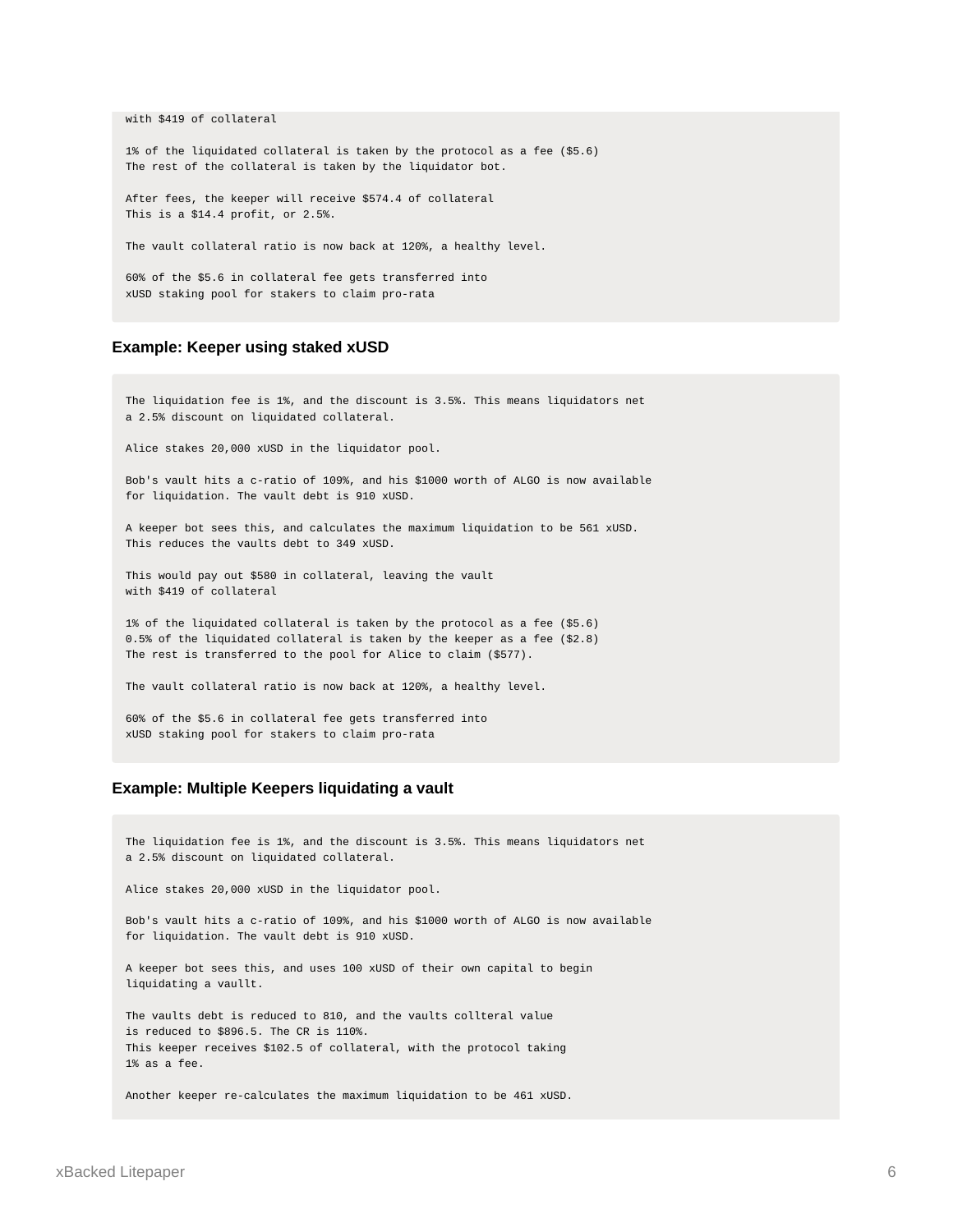with \$419 of collateral

1% of the liquidated collateral is taken by the protocol as a fee (\$5.6) The rest of the collateral is taken by the liquidator bot.

After fees, the keeper will receive \$574.4 of collateral This is a \$14.4 profit, or 2.5%.

The vault collateral ratio is now back at 120%, a healthy level.

60% of the \$5.6 in collateral fee gets transferred into xUSD staking pool for stakers to claim pro-rata

#### **Example: Keeper using staked xUSD**

The liquidation fee is 1%, and the discount is 3.5%. This means liquidators net a 2.5% discount on liquidated collateral.

Alice stakes 20,000 xUSD in the liquidator pool.

Bob's vault hits a c-ratio of 109%, and his \$1000 worth of ALGO is now available for liquidation. The vault debt is 910 xUSD.

A keeper bot sees this, and calculates the maximum liquidation to be 561 xUSD. This reduces the vaults debt to 349 xUSD.

This would pay out \$580 in collateral, leaving the vault with \$419 of collateral

1% of the liquidated collateral is taken by the protocol as a fee (\$5.6) 0.5% of the liquidated collateral is taken by the keeper as a fee (\$2.8) The rest is transferred to the pool for Alice to claim (\$577).

The vault collateral ratio is now back at 120%, a healthy level.

60% of the \$5.6 in collateral fee gets transferred into xUSD staking pool for stakers to claim pro-rata

#### **Example: Multiple Keepers liquidating a vault**

The liquidation fee is 1%, and the discount is 3.5%. This means liquidators net a 2.5% discount on liquidated collateral.

Alice stakes 20,000 xUSD in the liquidator pool.

Bob's vault hits a c-ratio of 109%, and his \$1000 worth of ALGO is now available for liquidation. The vault debt is 910 xUSD.

A keeper bot sees this, and uses 100 xUSD of their own capital to begin liquidating a vaullt.

The vaults debt is reduced to 810, and the vaults collteral value is reduced to \$896.5. The CR is 110%. This keeper receives \$102.5 of collateral, with the protocol taking 1% as a fee.

Another keeper re-calculates the maximum liquidation to be 461 xUSD.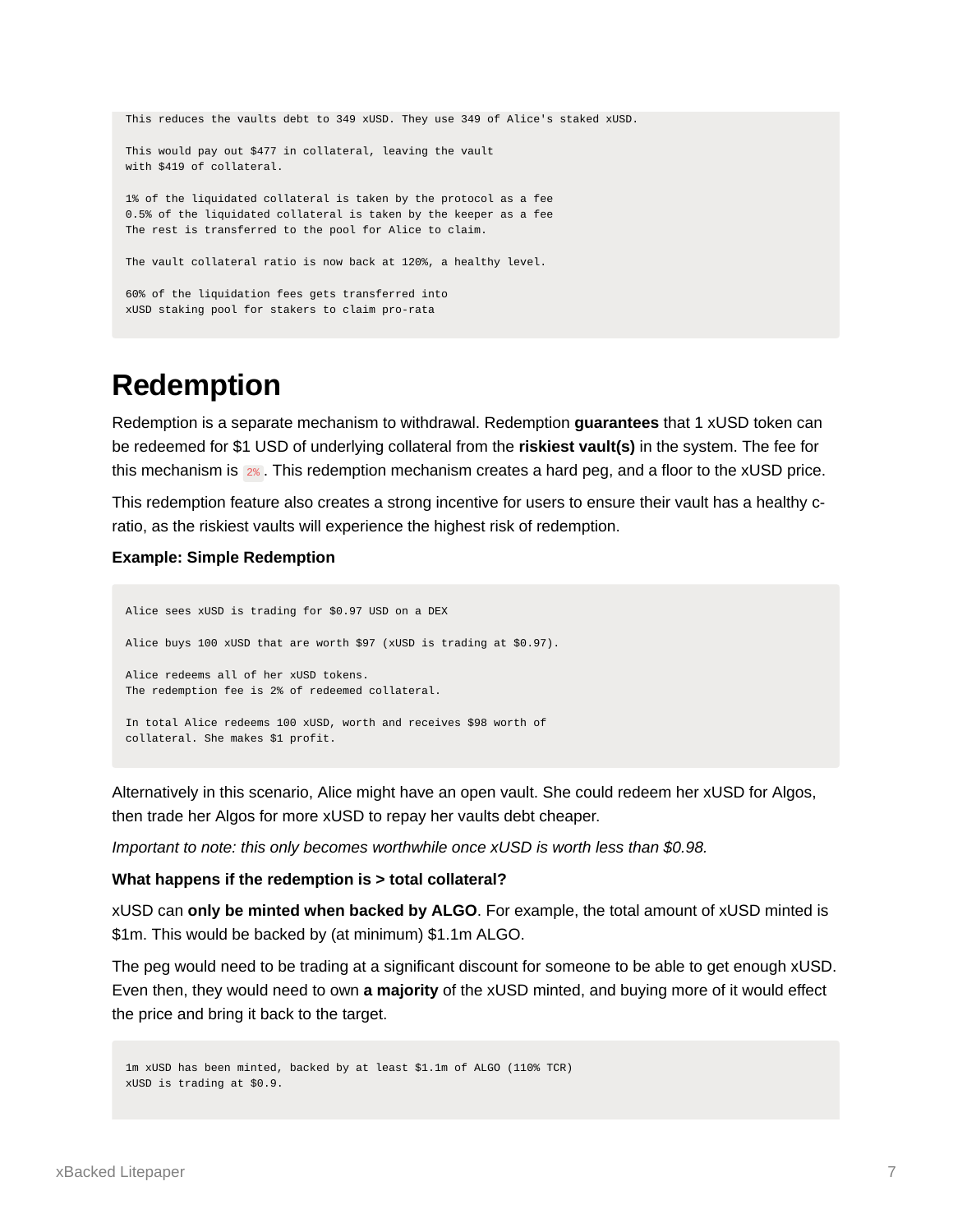```
This reduces the vaults debt to 349 xUSD. They use 349 of Alice's staked xUSD.
This would pay out $477 in collateral, leaving the vault
with $419 of collateral.
1% of the liquidated collateral is taken by the protocol as a fee
0.5% of the liquidated collateral is taken by the keeper as a fee
The rest is transferred to the pool for Alice to claim.
The vault collateral ratio is now back at 120%, a healthy level.
60% of the liquidation fees gets transferred into
xUSD staking pool for stakers to claim pro-rata
```
## <span id="page-6-0"></span>**Redemption**

Redemption is a separate mechanism to withdrawal. Redemption **guarantees** that 1 xUSD token can be redeemed for \$1 USD of underlying collateral from the **riskiest vault(s)** in the system. The fee for this mechanism is 2% . This redemption mechanism creates a hard peg, and a floor to the xUSD price.

This redemption feature also creates a strong incentive for users to ensure their vault has a healthy cratio, as the riskiest vaults will experience the highest risk of redemption.

#### **Example: Simple Redemption**

```
Alice sees xUSD is trading for $0.97 USD on a DEX
Alice buys 100 xUSD that are worth $97 (xUSD is trading at $0.97).
Alice redeems all of her xUSD tokens.
The redemption fee is 2% of redeemed collateral.
In total Alice redeems 100 xUSD, worth and receives $98 worth of
collateral. She makes $1 profit.
```
Alternatively in this scenario, Alice might have an open vault. She could redeem her xUSD for Algos, then trade her Algos for more xUSD to repay her vaults debt cheaper.

*Important to note: this only becomes worthwhile once xUSD is worth less than \$0.98.*

#### **What happens if the redemption is > total collateral?**

xUSD can **only be minted when backed by ALGO**. For example, the total amount of xUSD minted is \$1m. This would be backed by (at minimum) \$1.1m ALGO.

The peg would need to be trading at a significant discount for someone to be able to get enough xUSD. Even then, they would need to own **a majority** of the xUSD minted, and buying more of it would effect the price and bring it back to the target.

```
1m xUSD has been minted, backed by at least $1.1m of ALGO (110% TCR)
xUSD is trading at $0.9.
```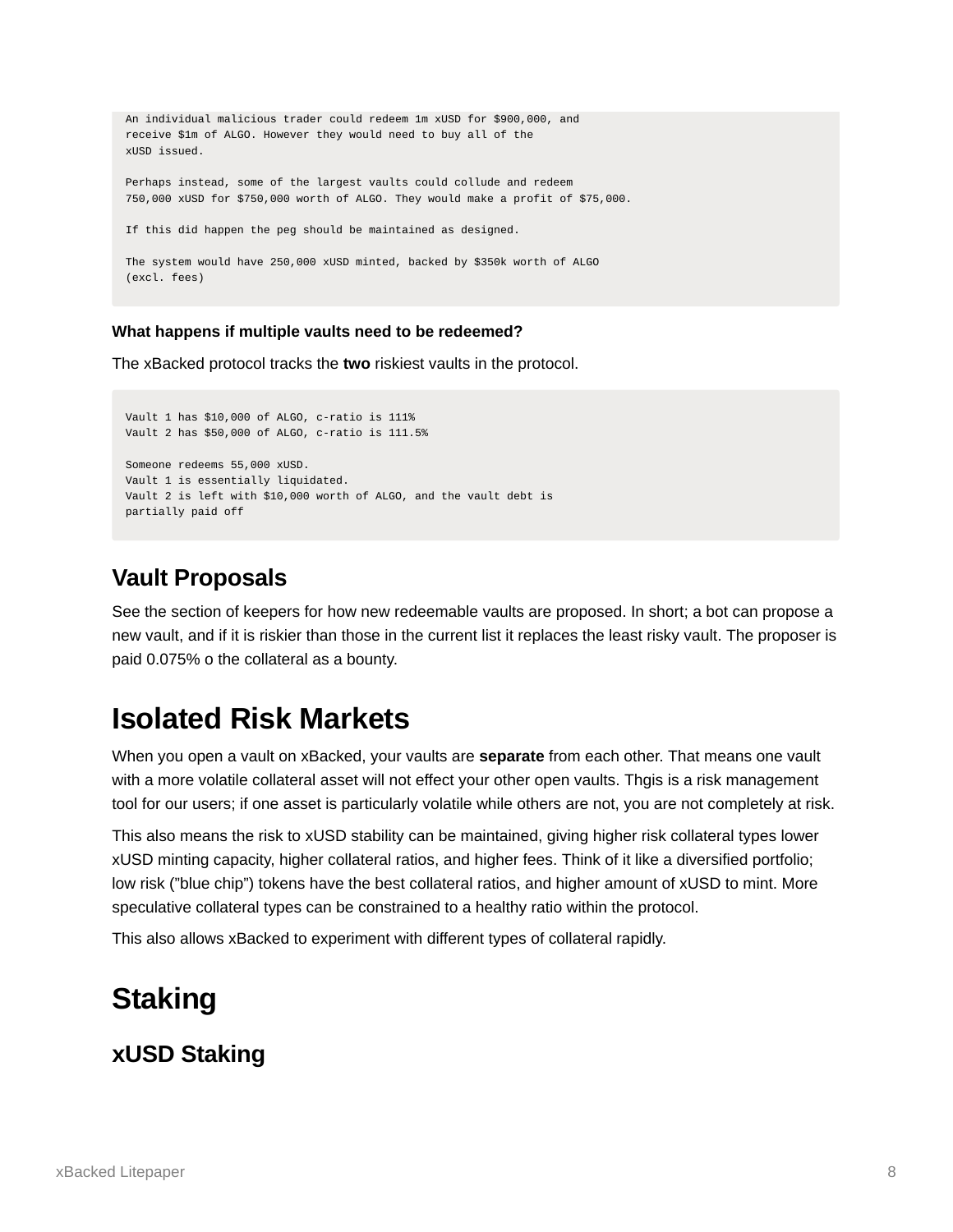```
An individual malicious trader could redeem 1m xUSD for $900,000, and
receive $1m of ALGO. However they would need to buy all of the
xUSD issued.
Perhaps instead, some of the largest vaults could collude and redeem
750,000 xUSD for $750,000 worth of ALGO. They would make a profit of $75,000.
If this did happen the peg should be maintained as designed.
The system would have 250,000 xUSD minted, backed by $350k worth of ALGO
(excl. fees)
```
### **What happens if multiple vaults need to be redeemed?**

The xBacked protocol tracks the **two** riskiest vaults in the protocol.

```
Vault 1 has $10,000 of ALGO, c-ratio is 111%
Vault 2 has $50,000 of ALGO, c-ratio is 111.5%
Someone redeems 55,000 xUSD.
Vault 1 is essentially liquidated.
Vault 2 is left with $10,000 worth of ALGO, and the vault debt is
partially paid off
```
## <span id="page-7-0"></span>**Vault Proposals**

See the section of keepers for how new redeemable vaults are proposed. In short; a bot can propose a new vault, and if it is riskier than those in the current list it replaces the least risky vault. The proposer is paid 0.075% o the collateral as a bounty.

## <span id="page-7-1"></span>**Isolated Risk Markets**

When you open a vault on xBacked, your vaults are **separate** from each other. That means one vault with a more volatile collateral asset will not effect your other open vaults. Thgis is a risk management tool for our users; if one asset is particularly volatile while others are not, you are not completely at risk.

This also means the risk to xUSD stability can be maintained, giving higher risk collateral types lower xUSD minting capacity, higher collateral ratios, and higher fees. Think of it like a diversified portfolio; low risk ("blue chip") tokens have the best collateral ratios, and higher amount of xUSD to mint. More speculative collateral types can be constrained to a healthy ratio within the protocol.

This also allows xBacked to experiment with different types of collateral rapidly.

# <span id="page-7-2"></span>**Staking**

## <span id="page-7-3"></span>**xUSD Staking**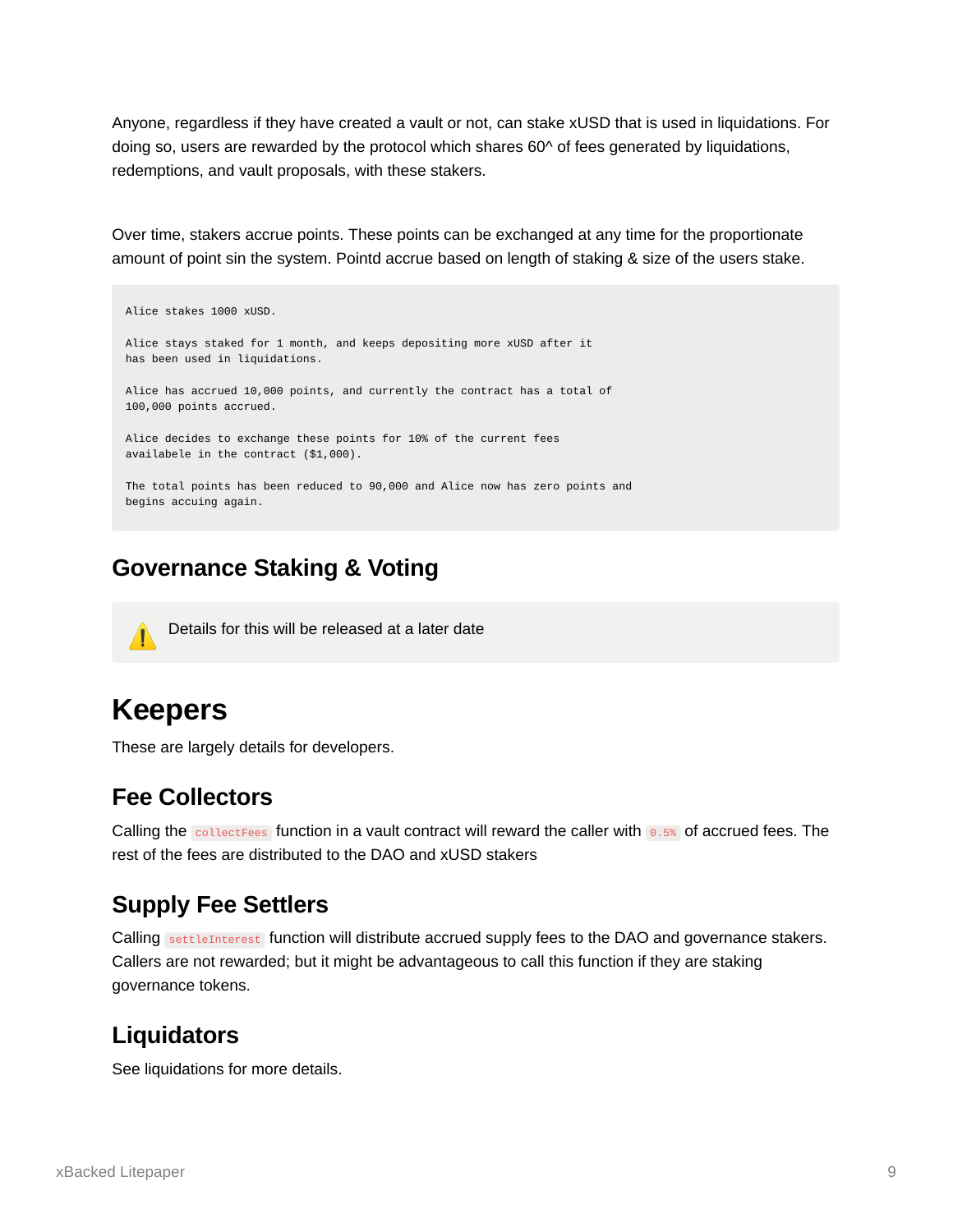Anyone, regardless if they have created a vault or not, can stake xUSD that is used in liquidations. For doing so, users are rewarded by the protocol which shares  $60<sup>^</sup>$  of fees generated by liquidations, redemptions, and vault proposals, with these stakers.

Over time, stakers accrue points. These points can be exchanged at any time for the proportionate amount of point sin the system. Pointd accrue based on length of staking & size of the users stake.

Alice stakes 1000 xUSD. Alice stays staked for 1 month, and keeps depositing more xUSD after it has been used in liquidations. Alice has accrued 10,000 points, and currently the contract has a total of 100,000 points accrued. Alice decides to exchange these points for 10% of the current fees availabele in the contract (\$1,000). The total points has been reduced to 90,000 and Alice now has zero points and begins accuing again.

## <span id="page-8-0"></span>**Governance Staking & Voting**



⚠ Details for this will be released at a later date

# <span id="page-8-1"></span>**Keepers**

These are largely details for developers.

## <span id="page-8-2"></span>**Fee Collectors**

Calling the collectFees function in a vault contract will reward the caller with 0.5% of accrued fees. The rest of the fees are distributed to the DAO and xUSD stakers

## <span id="page-8-3"></span>**Supply Fee Settlers**

Calling settleInterest function will distribute accrued supply fees to the DAO and governance stakers. Callers are not rewarded; but it might be advantageous to call this function if they are staking governance tokens.

## <span id="page-8-4"></span>**Liquidators**

See liquidations for more details.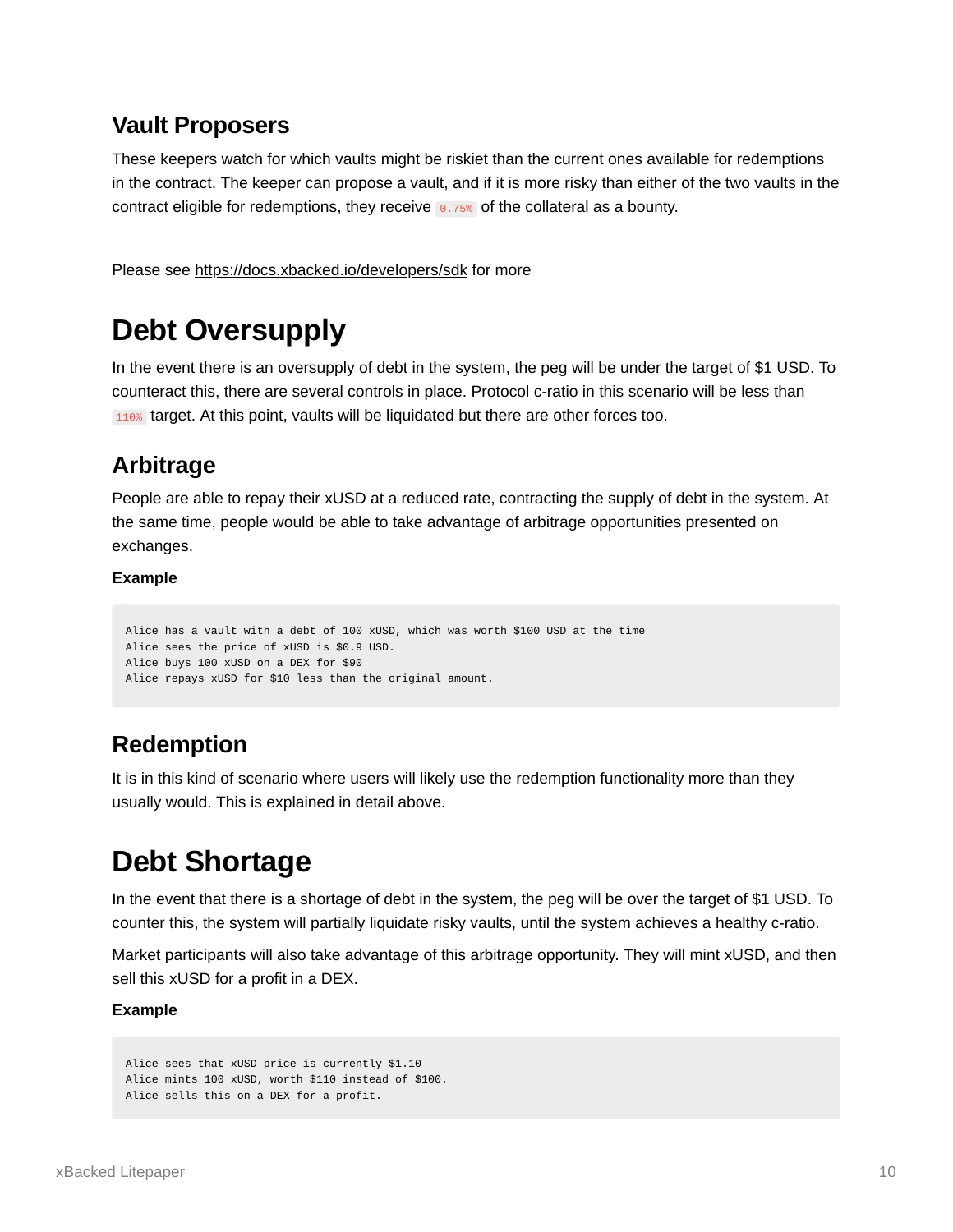## <span id="page-9-0"></span>**Vault Proposers**

These keepers watch for which vaults might be riskiet than the current ones available for redemptions in the contract. The keeper can propose a vault, and if it is more risky than either of the two vaults in the contract eligible for redemptions, they receive 0.75% of the collateral as a bounty.

Please see <https://docs.xbacked.io/developers/sdk> for more

# <span id="page-9-1"></span>**Debt Oversupply**

In the event there is an oversupply of debt in the system, the peg will be under the target of \$1 USD. To counteract this, there are several controls in place. Protocol c-ratio in this scenario will be less than 110% target. At this point, vaults will be liquidated but there are other forces too.

## <span id="page-9-2"></span>**Arbitrage**

People are able to repay their xUSD at a reduced rate, contracting the supply of debt in the system. At the same time, people would be able to take advantage of arbitrage opportunities presented on exchanges.

### **Example**

```
Alice has a vault with a debt of 100 xUSD, which was worth $100 USD at the time
Alice sees the price of xUSD is $0.9 USD.
Alice buys 100 xUSD on a DEX for $90
Alice repays xUSD for $10 less than the original amount.
```
## <span id="page-9-3"></span>**Redemption**

It is in this kind of scenario where users will likely use the redemption functionality more than they usually would. This is explained in detail above.

# <span id="page-9-4"></span>**Debt Shortage**

In the event that there is a shortage of debt in the system, the peg will be over the target of \$1 USD. To counter this, the system will partially liquidate risky vaults, until the system achieves a healthy c-ratio.

Market participants will also take advantage of this arbitrage opportunity. They will mint xUSD, and then sell this xUSD for a profit in a DEX.

### **Example**

```
Alice sees that xUSD price is currently $1.10
Alice mints 100 xUSD, worth $110 instead of $100.
Alice sells this on a DEX for a profit.
```